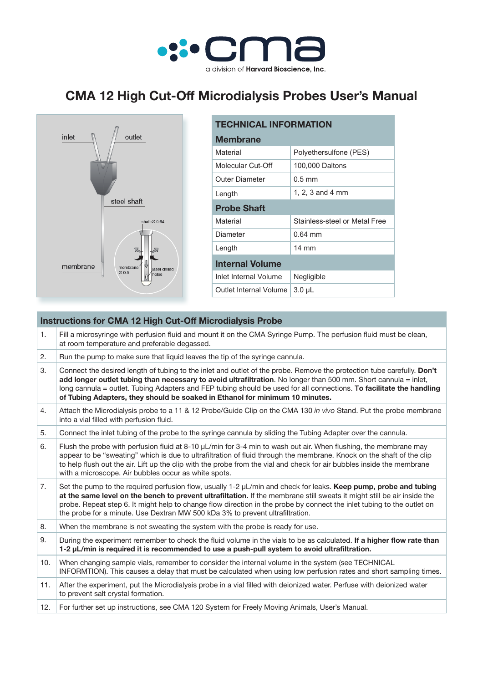

## **CMA 12 High Cut-Off Microdialysis Probes User's Manual**



| <b>TECHNICAL INFORMATION</b> |                               |  |
|------------------------------|-------------------------------|--|
| <b>Membrane</b>              |                               |  |
| Material                     | Polyethersulfone (PES)        |  |
| Molecular Cut-Off            | 100,000 Daltons               |  |
| Outer Diameter               | $0.5 \text{ mm}$              |  |
| Length                       | 1, 2, 3 and 4 mm              |  |
| <b>Probe Shaft</b>           |                               |  |
| Material                     | Stainless-steel or Metal Free |  |
| Diameter                     | $0.64$ mm                     |  |
| Length                       | $14 \text{ mm}$               |  |
| <b>Internal Volume</b>       |                               |  |
| Inlet Internal Volume        | Negligible                    |  |
| Outlet Internal Volume       | 3.0 µL                        |  |

| <b>Instructions for CMA 12 High Cut-Off Microdialysis Probe</b> |                                                                                                                                                                                                                                                                                                                                                                                                                                                        |  |
|-----------------------------------------------------------------|--------------------------------------------------------------------------------------------------------------------------------------------------------------------------------------------------------------------------------------------------------------------------------------------------------------------------------------------------------------------------------------------------------------------------------------------------------|--|
| 1.                                                              | Fill a microsyringe with perfusion fluid and mount it on the CMA Syringe Pump. The perfusion fluid must be clean,<br>at room temperature and preferable degassed.                                                                                                                                                                                                                                                                                      |  |
| 2.                                                              | Run the pump to make sure that liquid leaves the tip of the syringe cannula.                                                                                                                                                                                                                                                                                                                                                                           |  |
| 3.                                                              | Connect the desired length of tubing to the inlet and outlet of the probe. Remove the protection tube carefully. Don't<br>add longer outlet tubing than necessary to avoid ultrafiltration. No longer than 500 mm. Short cannula = inlet,<br>long cannula = outlet. Tubing Adapters and FEP tubing should be used for all connections. To facilitate the handling<br>of Tubing Adapters, they should be soaked in Ethanol for minimum 10 minutes.      |  |
| 4.                                                              | Attach the Microdialysis probe to a 11 & 12 Probe/Guide Clip on the CMA 130 in vivo Stand. Put the probe membrane<br>into a vial filled with perfusion fluid.                                                                                                                                                                                                                                                                                          |  |
| 5.                                                              | Connect the inlet tubing of the probe to the syringe cannula by sliding the Tubing Adapter over the cannula.                                                                                                                                                                                                                                                                                                                                           |  |
| 6.                                                              | Flush the probe with perfusion fluid at 8-10 µL/min for 3-4 min to wash out air. When flushing, the membrane may<br>appear to be "sweating" which is due to ultrafiltration of fluid through the membrane. Knock on the shaft of the clip<br>to help flush out the air. Lift up the clip with the probe from the vial and check for air bubbles inside the membrane<br>with a microscope. Air bubbles occur as white spots.                            |  |
| 7.                                                              | Set the pump to the required perfusion flow, usually 1-2 µL/min and check for leaks. Keep pump, probe and tubing<br>at the same level on the bench to prevent ultrafiltation. If the membrane still sweats it might still be air inside the<br>probe. Repeat step 6. It might help to change flow direction in the probe by connect the inlet tubing to the outlet on<br>the probe for a minute. Use Dextran MW 500 kDa 3% to prevent ultrafiltration. |  |
| 8.                                                              | When the membrane is not sweating the system with the probe is ready for use.                                                                                                                                                                                                                                                                                                                                                                          |  |
| 9.                                                              | During the experiment remember to check the fluid volume in the vials to be as calculated. If a higher flow rate than<br>1-2 µL/min is required it is recommended to use a push-pull system to avoid ultrafiltration.                                                                                                                                                                                                                                  |  |
| 10.                                                             | When changing sample vials, remember to consider the internal volume in the system (see TECHNICAL<br>INFORMTION). This causes a delay that must be calculated when using low perfusion rates and short sampling times.                                                                                                                                                                                                                                 |  |
| 11.                                                             | After the experiment, put the Microdialysis probe in a vial filled with deionized water. Perfuse with deionized water<br>to prevent salt crystal formation.                                                                                                                                                                                                                                                                                            |  |
| 12.                                                             | For further set up instructions, see CMA 120 System for Freely Moving Animals, User's Manual.                                                                                                                                                                                                                                                                                                                                                          |  |